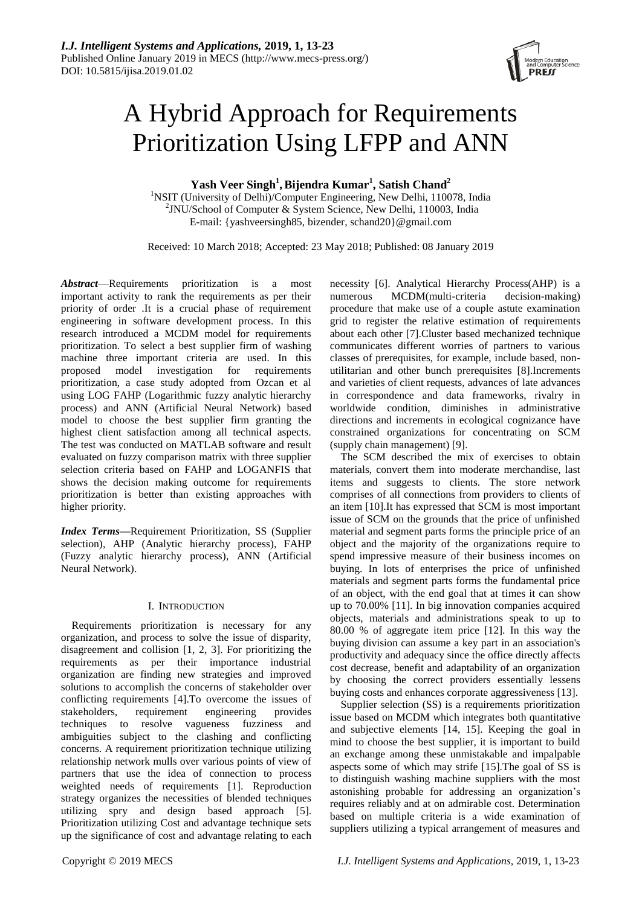

# A Hybrid Approach for Requirements Prioritization Using LFPP and ANN

 $Y$ ash Veer Singh<sup>1</sup>, Bijendra Kumar<sup>1</sup>, Satish Chand<sup>2</sup>

<sup>1</sup>NSIT (University of Delhi)/Computer Engineering, New Delhi, 110078, India <sup>2</sup>JNU/School of Computer & System Science, New Delhi, 110003, India E-mail: {yashveersingh85, bizender, [schand20}@gmail.com](mailto:schand20)

Received: 10 March 2018; Accepted: 23 May 2018; Published: 08 January 2019

*Abstract*—Requirements prioritization is a most important activity to rank the requirements as per their priority of order .It is a crucial phase of requirement engineering in software development process. In this research introduced a MCDM model for requirements prioritization. To select a best supplier firm of washing machine three important criteria are used. In this proposed model investigation for requirements prioritization, a case study adopted from Ozcan et al using LOG FAHP (Logarithmic fuzzy analytic hierarchy process) and ANN (Artificial Neural Network) based model to choose the best supplier firm granting the highest client satisfaction among all technical aspects. The test was conducted on MATLAB software and result evaluated on fuzzy comparison matrix with three supplier selection criteria based on FAHP and LOGANFIS that shows the decision making outcome for requirements prioritization is better than existing approaches with higher priority.

*Index Terms***—**Requirement Prioritization, SS (Supplier selection), AHP (Analytic hierarchy process), FAHP (Fuzzy analytic hierarchy process), ANN (Artificial Neural Network).

# I. INTRODUCTION

Requirements prioritization is necessary for any organization, and process to solve the issue of disparity, disagreement and collision [1, 2, 3]. For prioritizing the requirements as per their importance industrial organization are finding new strategies and improved solutions to accomplish the concerns of stakeholder over conflicting requirements [4].To overcome the issues of stakeholders, requirement engineering provides techniques to resolve vagueness fuzziness and ambiguities subject to the clashing and conflicting concerns. A requirement prioritization technique utilizing relationship network mulls over various points of view of partners that use the idea of connection to process weighted needs of requirements [1]. Reproduction strategy organizes the necessities of blended techniques utilizing spry and design based approach [5]. Prioritization utilizing Cost and advantage technique sets up the significance of cost and advantage relating to each necessity [6]. Analytical Hierarchy Process(AHP) is a numerous MCDM(multi-criteria decision-making) procedure that make use of a couple astute examination grid to register the relative estimation of requirements about each other [7].Cluster based mechanized technique communicates different worries of partners to various classes of prerequisites, for example, include based, nonutilitarian and other bunch prerequisites [8].Increments and varieties of client requests, advances of late advances in correspondence and data frameworks, rivalry in worldwide condition, diminishes in administrative directions and increments in ecological cognizance have constrained organizations for concentrating on SCM (supply chain management) [9].

The SCM described the mix of exercises to obtain materials, convert them into moderate merchandise, last items and suggests to clients. The store network comprises of all connections from providers to clients of an item [10].It has expressed that SCM is most important issue of SCM on the grounds that the price of unfinished material and segment parts forms the principle price of an object and the majority of the organizations require to spend impressive measure of their business incomes on buying. In lots of enterprises the price of unfinished materials and segment parts forms the fundamental price of an object, with the end goal that at times it can show up to 70.00% [11]. In big innovation companies acquired objects, materials and administrations speak to up to 80.00 % of aggregate item price [12]. In this way the buying division can assume a key part in an association's productivity and adequacy since the office directly affects cost decrease, benefit and adaptability of an organization by choosing the correct providers essentially lessens buying costs and enhances corporate aggressiveness [13].

Supplier selection (SS) is a requirements prioritization issue based on MCDM which integrates both quantitative and subjective elements [14, 15]. Keeping the goal in mind to choose the best supplier, it is important to build an exchange among these unmistakable and impalpable aspects some of which may strife [15].The goal of SS is to distinguish washing machine suppliers with the most astonishing probable for addressing an organization's requires reliably and at on admirable cost. Determination based on multiple criteria is a wide examination of suppliers utilizing a typical arrangement of measures and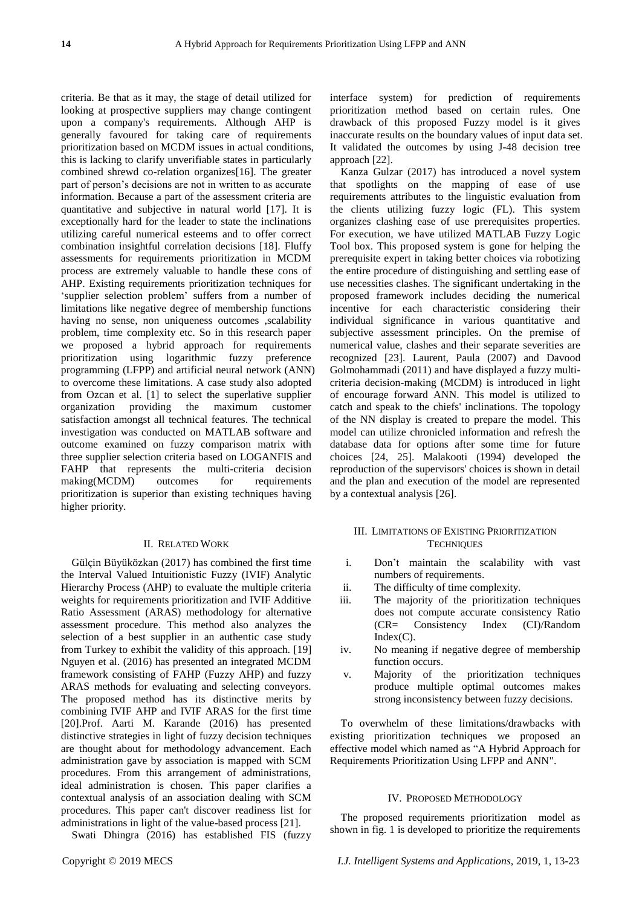criteria. Be that as it may, the stage of detail utilized for looking at prospective suppliers may change contingent upon a company's requirements. Although AHP is generally favoured for taking care of requirements prioritization based on MCDM issues in actual conditions, this is lacking to clarify unverifiable states in particularly combined shrewd co-relation organizes[16]. The greater part of person's decisions are not in written to as accurate information. Because a part of the assessment criteria are quantitative and subjective in natural world [17]. It is exceptionally hard for the leader to state the inclinations utilizing careful numerical esteems and to offer correct combination insightful correlation decisions [18]. Fluffy assessments for requirements prioritization in MCDM process are extremely valuable to handle these cons of AHP. Existing requirements prioritization techniques for 'supplier selection problem' suffers from a number of limitations like negative degree of membership functions having no sense, non uniqueness outcomes ,scalability problem, time complexity etc. So in this research paper we proposed a hybrid approach for requirements prioritization using logarithmic fuzzy preference programming (LFPP) and artificial neural network (ANN) to overcome these limitations. A case study also adopted from Ozcan et al. [1] to select the superlative supplier organization providing the maximum customer satisfaction amongst all technical features. The technical investigation was conducted on MATLAB software and outcome examined on fuzzy comparison matrix with three supplier selection criteria based on LOGANFIS and FAHP that represents the multi-criteria decision making(MCDM) outcomes for requirements prioritization is superior than existing techniques having higher priority.

#### II. RELATED WORK

Gülçin Büyüközkan (2017) has combined the first time the Interval Valued Intuitionistic Fuzzy (IVIF) Analytic Hierarchy Process (AHP) to evaluate the multiple criteria weights for requirements prioritization and IVIF Additive Ratio Assessment (ARAS) methodology for alternative assessment procedure. This method also analyzes the selection of a best supplier in an authentic case study from Turkey to exhibit the validity of this approach. [19] Nguyen et al. (2016) has presented an integrated MCDM framework consisting of FAHP (Fuzzy AHP) and fuzzy ARAS methods for evaluating and selecting conveyors. The proposed method has its distinctive merits by combining IVIF AHP and IVIF ARAS for the first time [20].Prof. Aarti M. Karande (2016) has presented distinctive strategies in light of fuzzy decision techniques are thought about for methodology advancement. Each administration gave by association is mapped with SCM procedures. From this arrangement of administrations, ideal administration is chosen. This paper clarifies a contextual analysis of an association dealing with SCM procedures. This paper can't discover readiness list for administrations in light of the value-based process [21].

Swati Dhingra (2016) has established FIS (fuzzy

interface system) for prediction of requirements prioritization method based on certain rules. One drawback of this proposed Fuzzy model is it gives inaccurate results on the boundary values of input data set. It validated the outcomes by using J-48 decision tree approach [22].

Kanza Gulzar (2017) has introduced a novel system that spotlights on the mapping of ease of use requirements attributes to the linguistic evaluation from the clients utilizing fuzzy logic (FL). This system organizes clashing ease of use prerequisites properties. For execution, we have utilized MATLAB Fuzzy Logic Tool box. This proposed system is gone for helping the prerequisite expert in taking better choices via robotizing the entire procedure of distinguishing and settling ease of use necessities clashes. The significant undertaking in the proposed framework includes deciding the numerical incentive for each characteristic considering their individual significance in various quantitative and subjective assessment principles. On the premise of numerical value, clashes and their separate severities are recognized [23]. Laurent, Paula (2007) and Davood Golmohammadi (2011) and have displayed a fuzzy multicriteria decision-making (MCDM) is introduced in light of encourage forward ANN. This model is utilized to catch and speak to the chiefs' inclinations. The topology of the NN display is created to prepare the model. This model can utilize chronicled information and refresh the database data for options after some time for future choices [24, 25]. Malakooti (1994) developed the reproduction of the supervisors' choices is shown in detail and the plan and execution of the model are represented by a contextual analysis [26].

# III. LIMITATIONS OF EXISTING PRIORITIZATION **TECHNIQUES**

- i. Don't maintain the scalability with vast numbers of requirements.
- ii. The difficulty of time complexity.
- iii. The majority of the prioritization techniques does not compute accurate consistency Ratio (CR= Consistency Index (CI)/Random  $Index(C)$ .
- iv. No meaning if negative degree of membership function occurs.
- v. Majority of the prioritization techniques produce multiple optimal outcomes makes strong inconsistency between fuzzy decisions.

To overwhelm of these limitations/drawbacks with existing prioritization techniques we proposed an effective model which named as "A Hybrid Approach for Requirements Prioritization Using LFPP and ANN".

#### IV. PROPOSED METHODOLOGY

The proposed requirements prioritization model as shown in fig. 1 is developed to prioritize the requirements

Copyright © 2019 MECS *I.J. Intelligent Systems and Applications,* 2019, 1, 13-23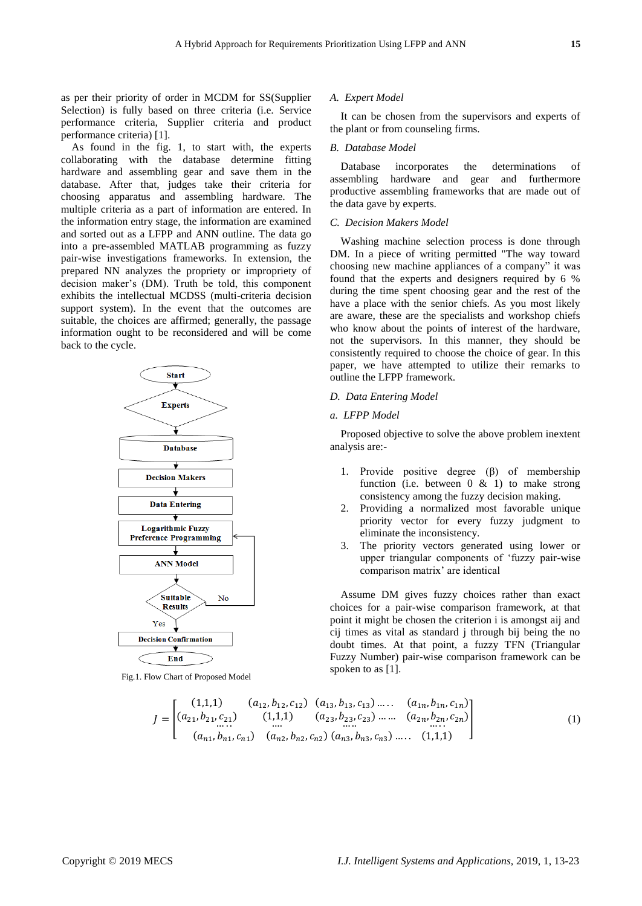as per their priority of order in MCDM for SS(Supplier Selection) is fully based on three criteria (i.e. Service performance criteria, Supplier criteria and product performance criteria) [1].

As found in the fig. 1, to start with, the experts collaborating with the database determine fitting hardware and assembling gear and save them in the database. After that, judges take their criteria for choosing apparatus and assembling hardware. The multiple criteria as a part of information are entered. In the information entry stage, the information are examined and sorted out as a LFPP and ANN outline. The data go into a pre-assembled MATLAB programming as fuzzy pair-wise investigations frameworks. In extension, the prepared NN analyzes the propriety or impropriety of decision maker's (DM). Truth be told, this component exhibits the intellectual MCDSS (multi-criteria decision support system). In the event that the outcomes are suitable, the choices are affirmed; generally, the passage information ought to be reconsidered and will be come back to the cycle.



Fig.1. Flow Chart of Proposed Model

#### *A. Expert Model*

It can be chosen from the supervisors and experts of the plant or from counseling firms.

## *B. Database Model*

Database incorporates the determinations of assembling hardware and gear and furthermore productive assembling frameworks that are made out of the data gave by experts.

## *C. Decision Makers Model*

Washing machine selection process is done through DM. In a piece of writing permitted "The way toward choosing new machine appliances of a company" it was found that the experts and designers required by 6 % during the time spent choosing gear and the rest of the have a place with the senior chiefs. As you most likely are aware, these are the specialists and workshop chiefs who know about the points of interest of the hardware, not the supervisors. In this manner, they should be consistently required to choose the choice of gear. In this paper, we have attempted to utilize their remarks to outline the LFPP framework.

# *D. Data Entering Model*

## *a. LFPP Model*

Proposed objective to solve the above problem inextent analysis are:-

- 1. Provide positive degree (β) of membership function (i.e. between  $0 \& 1$ ) to make strong consistency among the fuzzy decision making.
- 2. Providing a normalized most favorable unique priority vector for every fuzzy judgment to eliminate the inconsistency.
- 3. The priority vectors generated using lower or upper triangular components of 'fuzzy pair-wise comparison matrix' are identical

Assume DM gives fuzzy choices rather than exact choices for a pair-wise comparison framework, at that point it might be chosen the criterion i is amongst aij and cij times as vital as standard j through bij being the no doubt times. At that point, a fuzzy TFN (Triangular Fuzzy Number) pair-wise comparison framework can be spoken to as [1].

$$
J = \begin{bmatrix} (1,1,1) & (a_{12}, b_{12}, c_{12}) & (a_{13}, b_{13}, c_{13}) & \dots & (a_{1n}, b_{1n}, c_{1n}) \\ (a_{21}, b_{21}, c_{21}) & (1,1,1) & (a_{23}, b_{23}, c_{23}) & \dots & (a_{2n}, b_{2n}, c_{2n}) \\ \dots & \dots & \dots & \dots & \dots \\ (a_{n1}, b_{n1}, c_{n1}) & (a_{n2}, b_{n2}, c_{n2}) & (a_{n3}, b_{n3}, c_{n3}) & \dots & (1,1,1) \end{bmatrix}
$$
(1)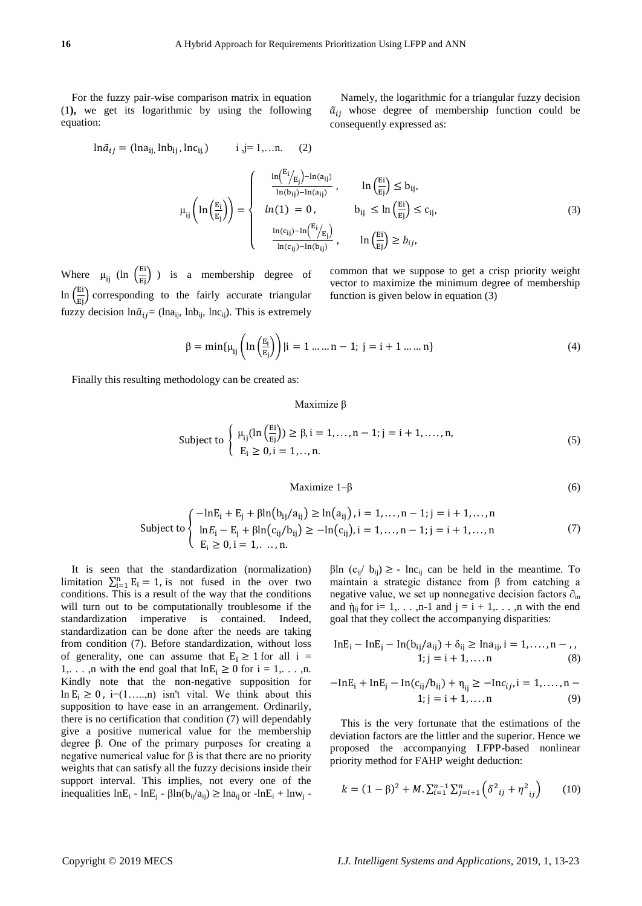For the fuzzy pair-wise comparison matrix in equation (1**),** we get its logarithmic by using the following equation:

$$
\ln \tilde{a}_{ij} = (\ln a_{ij} \ln b_{ij}, \ln c_{ij}) \qquad i, j = 1,...n. \tag{2}
$$

$$
\tilde{a}_{ij}
$$
 whose degree of membership function could be consequently expressed as:

Namely, the logarithmic for a triangular fuzzy decision

$$
\mu_{ij}\left(\ln\left(\frac{E_i}{E_j}\right)\right) = \begin{cases}\n\frac{\ln\left(\frac{E_i}{E_j}\right) - \ln(a_{ij})}{\ln(b_{ij}) - \ln(a_{ij})}, & \ln\left(\frac{E_i}{E_j}\right) \le b_{ij}, \\
ln(1) = 0, & b_{ij} \le \ln\left(\frac{E_i}{E_j}\right) \le c_{ij}, \\
\frac{\ln(c_{ij}) - \ln\left(\frac{E_i}{E_j}\right)}{\ln(c_{ij}) - \ln(b_{ij})}, & \ln\left(\frac{E_i}{E_j}\right) \ge b_{ij},\n\end{cases}
$$
\n(3)

Where  $\mu_{ij}$  (ln  $\left(\frac{Ei}{Ej}\right)$ ) is a membership degree of  $\ln\left(\frac{E_i}{E_j}\right)$  corresponding to the fairly accurate triangular fuzzy decision  $\ln \tilde{a}_{ij}$  = (lna<sub>ii</sub>, lnb<sub>ii</sub>, lnc<sub>ii</sub>). This is extremely

common that we suppose to get a crisp priority weight vector to maximize the minimum degree of membership function is given below in equation (3)

$$
\beta = \min\{\mu_{ij}\left(\ln\left(\frac{E_i}{E_j}\right)\right) | i = 1 \dots n - 1; j = i + 1 \dots n\}
$$
\n(4)

Finally this resulting methodology can be created as:

Maximize β

$$
\text{Subject to } \left\{ \begin{array}{l} \mu_{ij}(\ln\left(\frac{\text{E}i}{\text{E}j}\right)) \ge \beta, i = 1, \dots, n-1; j = i+1, \dots, n, \\ \text{E}_i \ge 0, i = 1, \dots, n. \end{array} \right. \tag{5}
$$

$$
Maximize 1-\beta \tag{6}
$$

$$
\text{Subject to} \begin{cases} -\ln E_i + E_j + \beta \ln(b_{ij}/a_{ij}) \ge \ln(a_{ij}), i = 1, ..., n - 1; j = i + 1, ..., n \\ \ln E_i - E_j + \beta \ln(c_{ij}/b_{ij}) \ge -\ln(c_{ij}), i = 1, ..., n - 1; j = i + 1, ..., n \\ E_i \ge 0, i = 1, ..., n. \end{cases} \tag{7}
$$

It is seen that the standardization (normalization) limitation  $\sum_{i=1}^{n} E_i = 1$ , is not fused in the over two conditions. This is a result of the way that the conditions will turn out to be computationally troublesome if the standardization imperative is contained. Indeed, standardization can be done after the needs are taking from condition (7). Before standardization, without loss of generality, one can assume that  $E_i \ge 1$  for all i = 1,..., n with the end goal that  $\ln E_i \ge 0$  for  $i = 1, \ldots, n$ . Kindly note that the non-negative supposition for ln  $E_i \geq 0$ , i=(1....,n) isn't vital. We think about this supposition to have ease in an arrangement. Ordinarily, there is no certification that condition (7) will dependably give a positive numerical value for the membership degree β. One of the primary purposes for creating a negative numerical value for  $β$  is that there are no priority weights that can satisfy all the fuzzy decisions inside their support interval. This implies, not every one of the inequalities  $lnE_i - lnE_i - \beta ln(b_{ii}/a_{ii}) \geq ln a_{ii}$  or  $-lnE_i + ln w_i$ 

βln (c<sub>ij</sub>/ b<sub>ij</sub>)  $\geq$  - lnc<sub>ij</sub> can be held in the meantime. To maintain a strategic distance from  $\beta$  from catching a negative value, we set up nonnegative decision factors  $\partial_{\text{in}}$ and  $\hat{\eta}_{ii}$  for i= 1,..., n-1 and  $i = i + 1, \ldots$ , n with the end goal that they collect the accompanying disparities:

$$
InE_i - InE_j - In(b_{ij}/a_{ij}) + \delta_{ij} \ge Ina_{ij}, i = 1,..., n-,1; j = i + 1,... n
$$
 (8)

$$
-\text{InE}_{i} + \text{InE}_{j} - \text{In}(c_{ij}/b_{ij}) + \eta_{ij} \ge -\text{In}c_{ij}, i = 1,..., n - 1; j = i + 1,... n \tag{9}
$$

This is the very fortunate that the estimations of the deviation factors are the littler and the superior. Hence we proposed the accompanying LFPP-based nonlinear priority method for FAHP weight deduction:

$$
k = (1 - \beta)^2 + M \cdot \sum_{i=1}^{n-1} \sum_{j=i+1}^{n} \left( \delta^2_{ij} + \eta^2_{ij} \right) \tag{10}
$$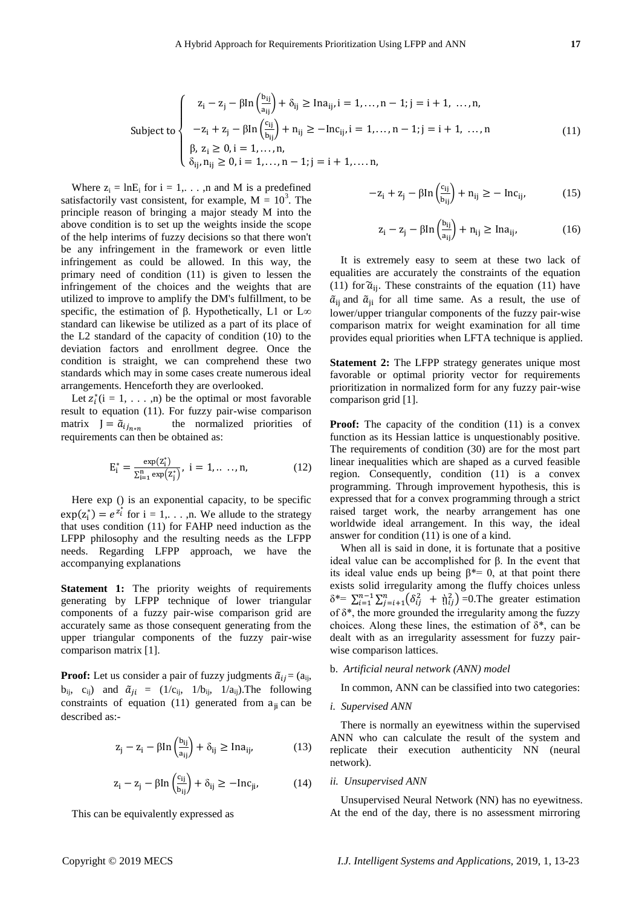$$
\text{Subject to} \begin{cases} \n z_i - z_j - \beta \ln \left( \frac{b_{ij}}{a_{ij}} \right) + \delta_{ij} \ge \text{Ina}_{ij}, i = 1, \dots, n - 1; j = i + 1, \dots, n, \\ \n -z_i + z_j - \beta \ln \left( \frac{c_{ij}}{b_{ij}} \right) + n_{ij} \ge -\text{Inc}_{ij}, i = 1, \dots, n - 1; j = i + 1, \dots, n \\ \n \beta, \ z_i \ge 0, i = 1, \dots, n, \\ \n \delta_{ij}, n_{ij} \ge 0, i = 1, \dots, n - 1; j = i + 1, \dots, n, \n\end{cases} \tag{11}
$$

Where  $z_i = \ln E_i$  for  $i = 1, \ldots, n$  and M is a predefined satisfactorily vast consistent, for example,  $M = 10<sup>3</sup>$ . The principle reason of bringing a major steady M into the above condition is to set up the weights inside the scope of the help interims of fuzzy decisions so that there won't be any infringement in the framework or even little infringement as could be allowed. In this way, the primary need of condition (11) is given to lessen the infringement of the choices and the weights that are utilized to improve to amplify the DM's fulfillment, to be specific, the estimation of β. Hypothetically, L1 or L∞ standard can likewise be utilized as a part of its place of the L2 standard of the capacity of condition (10) to the deviation factors and enrollment degree. Once the condition is straight, we can comprehend these two standards which may in some cases create numerous ideal arrangements. Henceforth they are overlooked.

Let  $z_i^*(i = 1, \ldots, n)$  be the optimal or most favorable result to equation (11). For fuzzy pair-wise comparison matrix  $J = \tilde{a}_{i j_{n*n}}$  the normalized priorities of requirements can then be obtained as:

$$
E_i^* = \frac{\exp(z_i^*)}{\sum_{i=1}^n \exp(z_j^*)}, \ i = 1, \dots, n,
$$
 (12)

Here exp () is an exponential capacity, to be specific  $exp(z_i^*) = e^{z_i^*}$  for  $i = 1, \ldots, n$ . We allude to the strategy that uses condition (11) for FAHP need induction as the LFPP philosophy and the resulting needs as the LFPP needs. Regarding LFPP approach, we have the accompanying explanations

**Statement 1:** The priority weights of requirements generating by LFPP technique of lower triangular components of a fuzzy pair-wise comparison grid are accurately same as those consequent generating from the upper triangular components of the fuzzy pair-wise comparison matrix [1].

**Proof:** Let us consider a pair of fuzzy judgments  $\tilde{a}_{ij} = (a_{ij}, a_{ij})$  $b_{ij}$ ,  $c_{ij}$ ) and  $\tilde{a}_{ji} = (1/c_{ij}, 1/b_{ij}, 1/a_{ij})$ . The following constraints of equation (11) generated from  $a_{ii}$  can be described as:-

$$
z_j - z_i - \beta \text{In} \left(\frac{b_{ij}}{a_{ij}}\right) + \delta_{ij} \ge \text{Ina}_{ij},\tag{13}
$$

$$
z_i - z_j - \beta \text{ln} \left( \frac{c_{ij}}{b_{ij}} \right) + \delta_{ij} \ge -\text{ln} c_{ji}, \tag{14}
$$

This can be equivalently expressed as

$$
-z_i + z_j - \beta \ln \left(\frac{c_{ij}}{b_{ij}}\right) + n_{ij} \ge -\ln c_{ij},\tag{15}
$$

$$
z_i - z_j - \beta \ln \left( \frac{b_{ij}}{a_{ij}} \right) + n_{ij} \ge \text{Ina}_{ij}, \tag{16}
$$

It is extremely easy to seem at these two lack of equalities are accurately the constraints of the equation (11) for  $\tilde{a}_{ii}$ . These constraints of the equation (11) have  $\tilde{a}_{ii}$  and  $\tilde{a}_{ii}$  for all time same. As a result, the use of lower/upper triangular components of the fuzzy pair-wise comparison matrix for weight examination for all time provides equal priorities when LFTA technique is applied.

**Statement 2:** The LFPP strategy generates unique most favorable or optimal priority vector for requirements prioritization in normalized form for any fuzzy pair-wise comparison grid [1].

**Proof:** The capacity of the condition (11) is a convex function as its Hessian lattice is unquestionably positive. The requirements of condition (30) are for the most part linear inequalities which are shaped as a curved feasible region. Consequently, condition (11) is a convex programming. Through improvement hypothesis, this is expressed that for a convex programming through a strict raised target work, the nearby arrangement has one worldwide ideal arrangement. In this way, the ideal answer for condition (11) is one of a kind.

When all is said in done, it is fortunate that a positive ideal value can be accomplished for β. In the event that its ideal value ends up being  $\beta^* = 0$ , at that point there exists solid irregularity among the fluffy choices unless  $\delta^* = \sum_{i=1}^{n-1} \sum_{j=i+1}^{n} (\delta_{ij}^2 + \hat{\eta}_{ij}^2) = 0$ . The greater estimation of  $\delta^*$ , the more grounded the irregularity among the fuzzy choices. Along these lines, the estimation of  $\delta^*$ , can be dealt with as an irregularity assessment for fuzzy pairwise comparison lattices.

## b. *Artificial neural network (ANN) model*

In common, ANN can be classified into two categories:

*i. Supervised ANN*

There is normally an eyewitness within the supervised ANN who can calculate the result of the system and replicate their execution authenticity NN (neural network).

#### *ii. Unsupervised ANN*

Unsupervised Neural Network (NN) has no eyewitness. At the end of the day, there is no assessment mirroring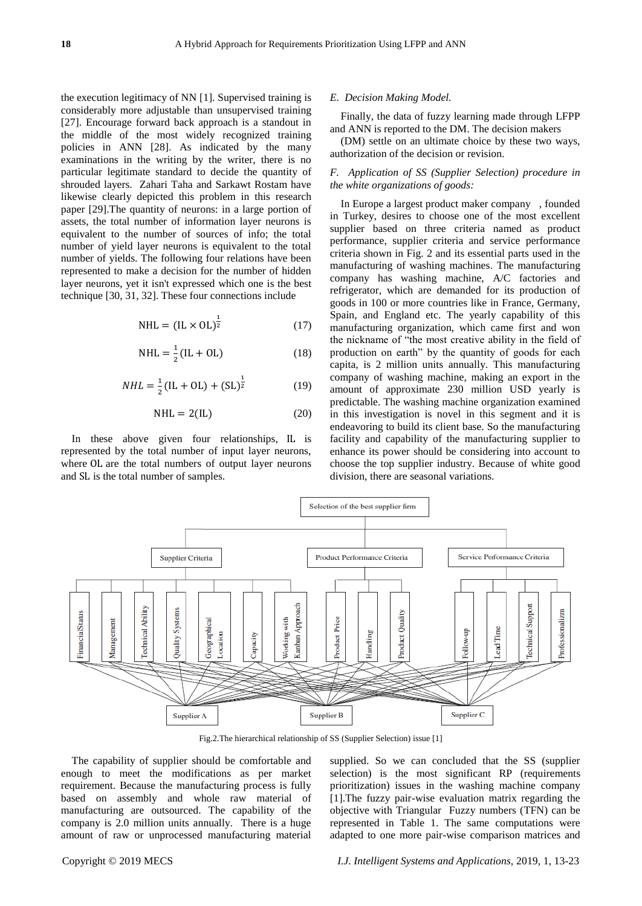the execution legitimacy of NN [1]. Supervised training is considerably more adjustable than unsupervised training [27]. Encourage forward back approach is a standout in the middle of the most widely recognized training policies in ANN [28]. As indicated by the many examinations in the writing by the writer, there is no particular legitimate standard to decide the quantity of shrouded layers. Zahari Taha and Sarkawt Rostam have likewise clearly depicted this problem in this research paper [29].The quantity of neurons: in a large portion of assets, the total number of information layer neurons is equivalent to the number of sources of info; the total number of yield layer neurons is equivalent to the total number of yields. The following four relations have been represented to make a decision for the number of hidden layer neurons, yet it isn't expressed which one is the best technique [30, 31, 32]. These four connections include

$$
NHL = (IL \times OL)^{\frac{1}{2}} \tag{17}
$$

$$
NHL = \frac{1}{2}(IL + OL)
$$
 (18)

$$
NHL = \frac{1}{2} (IL + OL) + (SL)^{\frac{1}{2}}
$$
 (19)

$$
NHL = 2(IL) \tag{20}
$$

In these above given four relationships, IL is represented by the total number of input layer neurons, where OL are the total numbers of output layer neurons and SL is the total number of samples.

#### *E. Decision Making Model.*

Finally, the data of fuzzy learning made through LFPP and ANN is reported to the DM. The decision makers

(DM) settle on an ultimate choice by these two ways, authorization of the decision or revision.

# *F. Application of SS (Supplier Selection) procedure in the white organizations of goods:*

In Europe a largest product maker company , founded in Turkey, desires to choose one of the most excellent supplier based on three criteria named as product performance, supplier criteria and service performance criteria shown in Fig. 2 and its essential parts used in the manufacturing of washing machines. The manufacturing company has washing machine, A/C factories and refrigerator, which are demanded for its production of goods in 100 or more countries like in France, Germany, Spain, and England etc. The yearly capability of this manufacturing organization, which came first and won the nickname of "the most creative ability in the field of production on earth" by the quantity of goods for each capita, is 2 million units annually. This manufacturing company of washing machine, making an export in the amount of approximate 230 million USD yearly is predictable. The washing machine organization examined in this investigation is novel in this segment and it is endeavoring to build its client base. So the manufacturing facility and capability of the manufacturing supplier to enhance its power should be considering into account to choose the top supplier industry. Because of white good division, there are seasonal variations.



Fig.2.The hierarchical relationship of SS (Supplier Selection) issue [1]

The capability of supplier should be comfortable and enough to meet the modifications as per market requirement. Because the manufacturing process is fully based on assembly and whole raw material of manufacturing are outsourced. The capability of the company is 2.0 million units annually. There is a huge amount of raw or unprocessed manufacturing material

supplied. So we can concluded that the SS (supplier selection) is the most significant RP (requirements prioritization) issues in the washing machine company [1].The fuzzy pair-wise evaluation matrix regarding the objective with Triangular Fuzzy numbers (TFN) can be represented in Table 1. The same computations were adapted to one more pair-wise comparison matrices and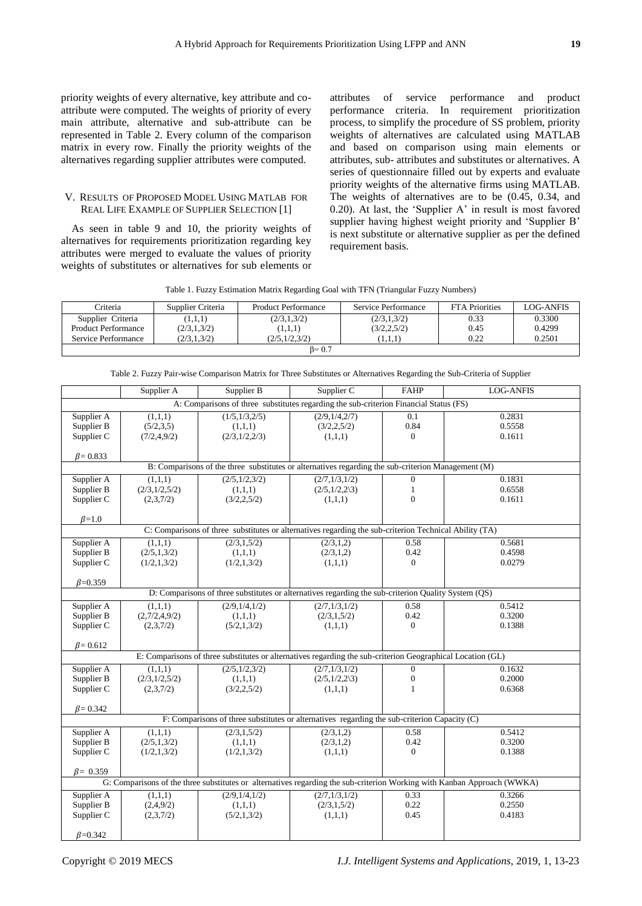priority weights of every alternative, key attribute and coattribute were computed. The weights of priority of every main attribute, alternative and sub-attribute can be represented in Table 2. Every column of the comparison matrix in every row. Finally the priority weights of the alternatives regarding supplier attributes were computed.

# V. RESULTS OF PROPOSED MODEL USING MATLAB FOR REAL LIFE EXAMPLE OF SUPPLIER SELECTION [1]

As seen in table 9 and 10, the priority weights of alternatives for requirements prioritization regarding key attributes were merged to evaluate the values of priority weights of substitutes or alternatives for sub elements or attributes of service performance and product performance criteria. In requirement prioritization process, to simplify the procedure of SS problem, priority weights of alternatives are calculated using MATLAB and based on comparison using main elements or attributes, sub- attributes and substitutes or alternatives. A series of questionnaire filled out by experts and evaluate priority weights of the alternative firms using MATLAB. The weights of alternatives are to be (0.45, 0.34, and 0.20). At last, the 'Supplier A' in result is most favored supplier having highest weight priority and 'Supplier B' is next substitute or alternative supplier as per the defined requirement basis.

|  | Table 1. Fuzzy Estimation Matrix Regarding Goal with TFN (Triangular Fuzzy Numbers) |  |  |  |  |  |  |
|--|-------------------------------------------------------------------------------------|--|--|--|--|--|--|
|--|-------------------------------------------------------------------------------------|--|--|--|--|--|--|

| Criteria            | Supplier Criteria | <b>Product Performance</b> | Service Performance | <b>FTA Priorities</b> | LOG-ANFIS |
|---------------------|-------------------|----------------------------|---------------------|-----------------------|-----------|
| Supplier Criteria   | (1,1,1)           | (2/3, 1, 3/2)              | (2/3, 1, 3/2)       | 0.33                  | 0.3300    |
| Product Performance | (2/3, 1, 3/2)     | (1,1,1)                    | (3/2, 2, 5/2)       | 0.45                  | 0.4299    |
| Service Performance | (2/3, 1, 3/2)     | (2/5.1/2.3/2)              | (1,1,1)             | 0.22                  | 0.2501    |
|                     |                   | $\beta = 0.7$              |                     |                       |           |

|  |  |  | Table 2. Fuzzy Pair-wise Comparison Matrix for Three Substitutes or Alternatives Regarding the Sub-Criteria of Supplier |
|--|--|--|-------------------------------------------------------------------------------------------------------------------------|
|  |  |  |                                                                                                                         |

|                 | Supplier A      | Supplier B                                                                                                 | Supplier C              | <b>FAHP</b>      | <b>LOG-ANFIS</b>                                                                                                        |
|-----------------|-----------------|------------------------------------------------------------------------------------------------------------|-------------------------|------------------|-------------------------------------------------------------------------------------------------------------------------|
|                 |                 | A: Comparisons of three substitutes regarding the sub-criterion Financial Status (FS)                      |                         |                  |                                                                                                                         |
| Supplier A      | (1,1,1)         | (1/5, 1/3, 2/5)                                                                                            | (2/9, 1/4, 2/7)         | $\overline{0.1}$ | 0.2831                                                                                                                  |
| Supplier B      | (5/2,3,5)       | (1,1,1)                                                                                                    | (3/2, 2, 5/2)           | 0.84             | 0.5558                                                                                                                  |
| Supplier C      | (7/2, 4, 9/2)   | (2/3,1/2,2/3)                                                                                              | (1,1,1)                 | $\Omega$         | 0.1611                                                                                                                  |
|                 |                 |                                                                                                            |                         |                  |                                                                                                                         |
| $\beta = 0.833$ |                 |                                                                                                            |                         |                  |                                                                                                                         |
|                 |                 | B: Comparisons of the three substitutes or alternatives regarding the sub-criterion Management (M)         |                         |                  |                                                                                                                         |
| Supplier A      | (1,1,1)         | (2/5, 1/2, 3/2)                                                                                            | (2/7,1/3,1/2)           | $\overline{0}$   | 0.1831                                                                                                                  |
| Supplier B      | (2/3,1/2,5/2)   | (1,1,1)                                                                                                    | $(2/5,1/2,2\sqrt{3})$   | $\mathbf{1}$     | 0.6558                                                                                                                  |
| Supplier C      | (2,3,7/2)       | (3/2, 2, 5/2)                                                                                              | (1,1,1)                 | $\Omega$         | 0.1611                                                                                                                  |
|                 |                 |                                                                                                            |                         |                  |                                                                                                                         |
| $\beta=1.0$     |                 | C: Comparisons of three substitutes or alternatives regarding the sub-criterion Technical Ability (TA)     |                         |                  |                                                                                                                         |
|                 |                 |                                                                                                            |                         | 0.58             | 0.5681                                                                                                                  |
| Supplier A      | (1,1,1)         | (2/3,1,5/2)                                                                                                | (2/3,1,2)               | 0.42             | 0.4598                                                                                                                  |
| Supplier B      | (2/5,1,3/2)     | (1,1,1)                                                                                                    | (2/3, 1, 2)             | $\Omega$         | 0.0279                                                                                                                  |
| Supplier C      | (1/2,1,3/2)     | (1/2,1,3/2)                                                                                                | (1,1,1)                 |                  |                                                                                                                         |
| $\beta = 0.359$ |                 |                                                                                                            |                         |                  |                                                                                                                         |
|                 |                 | D: Comparisons of three substitutes or alternatives regarding the sub-criterion Quality System (QS)        |                         |                  |                                                                                                                         |
| Supplier A      | (1,1,1)         | (2/9,1/4,1/2)                                                                                              | (2/7, 1/3, 1/2)         | 0.58             | 0.5412                                                                                                                  |
| Supplier B      | (2,7/2,4,9/2)   | (1,1,1)                                                                                                    | (2/3,1,5/2)             | 0.42             | 0.3200                                                                                                                  |
| Supplier C      | (2,3,7/2)       | (5/2,1,3/2)                                                                                                | (1,1,1)                 | $\overline{0}$   | 0.1388                                                                                                                  |
|                 |                 |                                                                                                            |                         |                  |                                                                                                                         |
| $\beta = 0.612$ |                 |                                                                                                            |                         |                  |                                                                                                                         |
|                 |                 | E: Comparisons of three substitutes or alternatives regarding the sub-criterion Geographical Location (GL) |                         |                  |                                                                                                                         |
| Supplier A      | (1,1,1)         | (2/5, 1/2, 3/2)                                                                                            | (2/7,1/3,1/2)           | $\mathbf{0}$     | 0.1632                                                                                                                  |
| Supplier B      | (2/3, 1/2, 5/2) | (1,1,1)                                                                                                    | $(2/5, 1/2, 2\sqrt{3})$ | $\mathbf{0}$     | 0.2000                                                                                                                  |
| Supplier C      | (2,3,7/2)       | (3/2, 2, 5/2)                                                                                              | (1,1,1)                 | $\mathbf{1}$     | 0.6368                                                                                                                  |
|                 |                 |                                                                                                            |                         |                  |                                                                                                                         |
| $\beta = 0.342$ |                 |                                                                                                            |                         |                  |                                                                                                                         |
|                 |                 | F: Comparisons of three substitutes or alternatives regarding the sub-criterion Capacity (C)               |                         |                  |                                                                                                                         |
| Supplier A      | (1,1,1)         | (2/3,1,5/2)                                                                                                | (2/3,1,2)               | 0.58             | 0.5412                                                                                                                  |
| Supplier B      | (2/5,1,3/2)     | (1,1,1)                                                                                                    | (2/3,1,2)               | 0.42             | 0.3200                                                                                                                  |
| Supplier C      | (1/2,1,3/2)     | (1/2,1,3/2)                                                                                                | (1,1,1)                 | $\overline{0}$   | 0.1388                                                                                                                  |
| $\beta = 0.359$ |                 |                                                                                                            |                         |                  |                                                                                                                         |
|                 |                 |                                                                                                            |                         |                  | G: Comparisons of the three substitutes or alternatives regarding the sub-criterion Working with Kanban Approach (WWKA) |
| Supplier A      | (1,1,1)         | (2/9,1/4,1/2)                                                                                              | (2/7,1/3,1/2)           | 0.33             | 0.3266                                                                                                                  |
| Supplier B      | (2,4,9/2)       | (1,1,1)                                                                                                    | (2/3,1,5/2)             | 0.22             | 0.2550                                                                                                                  |
| Supplier C      | (2,3,7/2)       | (5/2,1,3/2)                                                                                                | (1,1,1)                 | 0.45             | 0.4183                                                                                                                  |
|                 |                 |                                                                                                            |                         |                  |                                                                                                                         |
| $\beta = 0.342$ |                 |                                                                                                            |                         |                  |                                                                                                                         |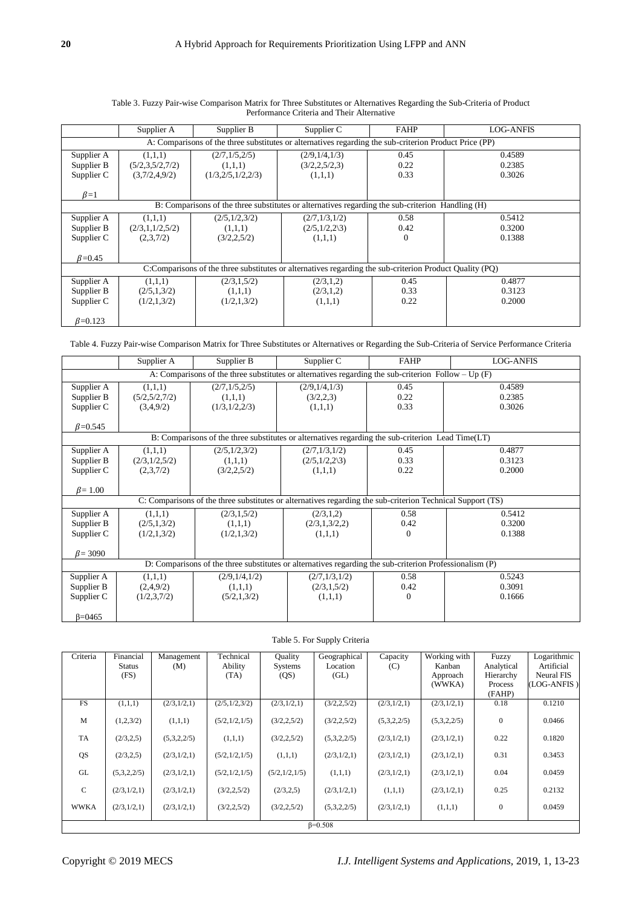|                                                                                                        | Supplier A                                  | Supplier B                                       | Supplier C                                                                                              | <b>FAHP</b>              | <b>LOG-ANFIS</b>           |  |  |  |
|--------------------------------------------------------------------------------------------------------|---------------------------------------------|--------------------------------------------------|---------------------------------------------------------------------------------------------------------|--------------------------|----------------------------|--|--|--|
| A: Comparisons of the three substitutes or alternatives regarding the sub-criterion Product Price (PP) |                                             |                                                  |                                                                                                         |                          |                            |  |  |  |
| Supplier A<br>Supplier B<br>Supplier C                                                                 | (1,1,1)<br>(5/2,3,5/2,7/2)<br>(3,7/2,4,9/2) | (2/7,1/5,2/5)<br>(1,1,1)<br>(1/3, 2/5, 1/2, 2/3) | (2/9,1/4,1/3)<br>(3/2, 2, 5/2, 3)<br>(1,1,1)                                                            | 0.45<br>0.22<br>0.33     | 0.4589<br>0.2385<br>0.3026 |  |  |  |
| $\beta=1$                                                                                              |                                             |                                                  |                                                                                                         |                          |                            |  |  |  |
|                                                                                                        |                                             |                                                  | B: Comparisons of the three substitutes or alternatives regarding the sub-criterion Handling (H)        |                          |                            |  |  |  |
| Supplier A<br>Supplier B<br>Supplier C                                                                 | (1,1,1)<br>(2/3,1,1/2,5/2)<br>(2,3,7/2)     | (2/5,1/2,3/2)<br>(1,1,1)<br>(3/2, 2, 5/2)        | (2/7,1/3,1/2)<br>$(2/5,1/2,2\sqrt{3})$<br>(1,1,1)                                                       | 0.58<br>0.42<br>$\Omega$ | 0.5412<br>0.3200<br>0.1388 |  |  |  |
| $\beta$ =0.45                                                                                          |                                             |                                                  |                                                                                                         |                          |                            |  |  |  |
|                                                                                                        |                                             |                                                  | C:Comparisons of the three substitutes or alternatives regarding the sub-criterion Product Quality (PQ) |                          |                            |  |  |  |
| Supplier A<br>Supplier B<br>Supplier C                                                                 | (1,1,1)<br>(2/5, 1, 3/2)<br>(1/2,1,3/2)     | (2/3,1,5/2)<br>(1,1,1)<br>(1/2,1,3/2)            | (2/3,1,2)<br>(2/3,1,2)<br>(1,1,1)                                                                       | 0.45<br>0.33<br>0.22     | 0.4877<br>0.3123<br>0.2000 |  |  |  |
| $\beta = 0.123$                                                                                        |                                             |                                                  |                                                                                                         |                          |                            |  |  |  |

# Table 3. Fuzzy Pair-wise Comparison Matrix for Three Substitutes or Alternatives Regarding the Sub-Criteria of Product Performance Criteria and Their Alternative

Table 4. Fuzzy Pair-wise Comparison Matrix for Three Substitutes or Alternatives or Regarding the Sub-Criteria of Service Performance Criteria

|                 | Supplier A                                                                                            | Supplier B      | Supplier C                                                                                                 | <b>FAHP</b> | <b>LOG-ANFIS</b> |  |  |  |
|-----------------|-------------------------------------------------------------------------------------------------------|-----------------|------------------------------------------------------------------------------------------------------------|-------------|------------------|--|--|--|
|                 | A: Comparisons of the three substitutes or alternatives regarding the sub-criterion Follow – Up $(F)$ |                 |                                                                                                            |             |                  |  |  |  |
| Supplier A      | (1,1,1)                                                                                               | (2/7,1/5,2/5)   | (2/9,1/4,1/3)                                                                                              | 0.45        | 0.4589           |  |  |  |
| Supplier B      | (5/2,5/2,7/2)                                                                                         | (1,1,1)         | (3/2,2,3)                                                                                                  | 0.22        | 0.2385           |  |  |  |
| Supplier C      | (3,4,9/2)                                                                                             | (1/3,1/2,2/3)   | (1,1,1)                                                                                                    | 0.33        | 0.3026           |  |  |  |
|                 |                                                                                                       |                 |                                                                                                            |             |                  |  |  |  |
| $\beta = 0.545$ |                                                                                                       |                 |                                                                                                            |             |                  |  |  |  |
|                 |                                                                                                       |                 | B: Comparisons of the three substitutes or alternatives regarding the sub-criterion Lead Time $(LT)$       |             |                  |  |  |  |
| Supplier A      | (1,1,1)                                                                                               | (2/5, 1/2, 3/2) | (2/7,1/3,1/2)                                                                                              | 0.45        | 0.4877           |  |  |  |
| Supplier B      | (2/3,1/2,5/2)                                                                                         | (1,1,1)         | $(2/5,1/2,2\sqrt{3})$                                                                                      | 0.33        | 0.3123           |  |  |  |
| Supplier C      | (2,3,7/2)                                                                                             | (3/2, 2, 5/2)   | (1,1,1)                                                                                                    | 0.22        | 0.2000           |  |  |  |
|                 |                                                                                                       |                 |                                                                                                            |             |                  |  |  |  |
| $\beta$ = 1.00  |                                                                                                       |                 |                                                                                                            |             |                  |  |  |  |
|                 |                                                                                                       |                 | C: Comparisons of the three substitutes or alternatives regarding the sub-criterion Technical Support (TS) |             |                  |  |  |  |
| Supplier A      | (1,1,1)                                                                                               | (2/3, 1, 5/2)   | (2/3,1,2)                                                                                                  | 0.58        | 0.5412           |  |  |  |
| Supplier B      | (2/5,1,3/2)                                                                                           | (1,1,1)         | (2/3,1,3/2,2)                                                                                              | 0.42        | 0.3200           |  |  |  |
| Supplier C      | (1/2,1,3/2)                                                                                           | (1/2,1,3/2)     | (1,1,1)                                                                                                    | 0           | 0.1388           |  |  |  |
|                 |                                                                                                       |                 |                                                                                                            |             |                  |  |  |  |
| $\beta = 3090$  |                                                                                                       |                 |                                                                                                            |             |                  |  |  |  |
|                 |                                                                                                       |                 | D: Comparisons of the three substitutes or alternatives regarding the sub-criterion Professionalism (P)    |             |                  |  |  |  |
| Supplier A      | (1,1,1)                                                                                               | (2/9,1/4,1/2)   | (2/7,1/3,1/2)                                                                                              | 0.58        | 0.5243           |  |  |  |
| Supplier B      | (2,4,9/2)                                                                                             | (1,1,1)         | (2/3,1,5/2)                                                                                                | 0.42        | 0.3091           |  |  |  |
| Supplier C      | (1/2,3,7/2)                                                                                           | (5/2, 1, 3/2)   | (1,1,1)                                                                                                    | $\Omega$    | 0.1666           |  |  |  |
|                 |                                                                                                       |                 |                                                                                                            |             |                  |  |  |  |
| $\beta = 0.465$ |                                                                                                       |                 |                                                                                                            |             |                  |  |  |  |

| Criteria      | Financial       | Management  | Technical       | <b>Ouality</b>  | Geographical  | Capacity    | Working with | Fuzzy        | Logarithmic |
|---------------|-----------------|-------------|-----------------|-----------------|---------------|-------------|--------------|--------------|-------------|
|               | <b>Status</b>   | (M)         | Ability         | <b>Systems</b>  | Location      | (C)         | Kanban       | Analytical   | Artificial  |
|               | (FS)            |             | (TA)            | (QS)            | (GL)          |             | Approach     | Hierarchy    | Neural FIS  |
|               |                 |             |                 |                 |               |             | (WWKA)       | Process      | (LOG-ANFIS) |
|               |                 |             |                 |                 |               |             |              | (FAHP)       |             |
| <b>FS</b>     | (1,1,1)         | (2/3,1/2,1) | (2/5, 1/2, 3/2) | (2/3,1/2,1)     | (3/2, 2, 5/2) | (2/3,1/2,1) | (2/3,1/2,1)  | 0.18         | 0.1210      |
|               |                 |             |                 |                 |               |             |              |              |             |
| M             | (1,2,3/2)       | (1,1,1)     | (5/2, 1/2, 1/5) | (3/2, 2, 5/2)   | (3/2, 2, 5/2) | (5,3,2,2/5) | (5,3,2,2/5)  | $\mathbf{0}$ | 0.0466      |
| TA            | (2/3, 2, 5)     | (5,3,2,2/5) | (1,1,1)         | (3/2, 2, 5/2)   | (5,3,2,2/5)   | (2/3,1/2,1) | (2/3,1/2,1)  | 0.22         | 0.1820      |
|               |                 |             |                 |                 |               |             |              |              |             |
| QS            | (2/3, 2, 5)     | (2/3,1/2,1) | (5/2, 1/2, 1/5) | (1,1,1)         | (2/3,1/2,1)   | (2/3,1/2,1) | (2/3,1/2,1)  | 0.31         | 0.3453      |
|               |                 |             |                 |                 |               |             |              |              |             |
| GL            | (5,3,2,2/5)     | (2/3,1/2,1) | (5/2, 1/2, 1/5) | (5/2, 1/2, 1/5) | (1,1,1)       | (2/3,1/2,1) | (2/3,1/2,1)  | 0.04         | 0.0459      |
| $\mathcal{C}$ | (2/3, 1/2, 1)   | (2/3,1/2,1) | (3/2, 2, 5/2)   | (2/3, 2, 5)     | (2/3,1/2,1)   | (1,1,1)     | (2/3,1/2,1)  | 0.25         | 0.2132      |
|               |                 |             |                 |                 |               |             |              |              |             |
| <b>WWKA</b>   | (2/3, 1/2, 1)   | (2/3,1/2,1) | (3/2, 2, 5/2)   | (3/2, 2, 5/2)   | (5,3,2,2/5)   | (2/3,1/2,1) | (1,1,1)      | $\mathbf{0}$ | 0.0459      |
|               |                 |             |                 |                 |               |             |              |              |             |
|               | $\beta = 0.508$ |             |                 |                 |               |             |              |              |             |

# Table 5. For Supply Criteria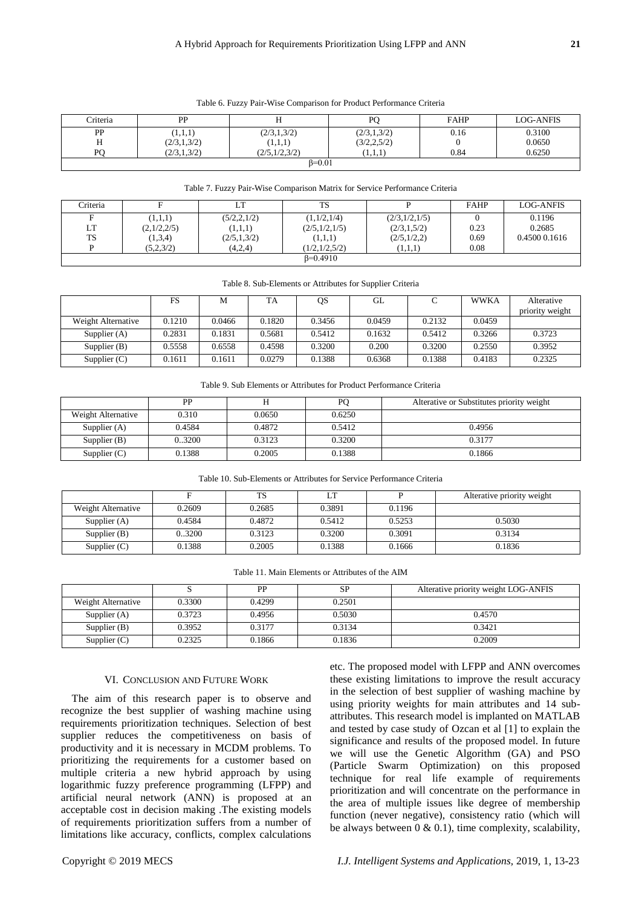| Criteria       | PP            |               | DC            | <b>FAHP</b> | <b>LOG-ANFIS</b> |  |
|----------------|---------------|---------------|---------------|-------------|------------------|--|
| PP             | (1,1,1)       | (2/3,1,3/2)   | (2/3,1,3/2)   | 0.16        | 0.3100           |  |
| Η              | (2/3,1,3/2)   | (1,1,1)       | (3/2, 2, 5/2) |             | 0.0650           |  |
| РC             | (2/3, 1, 3/2) | (2/5,1/2,3/2) | (1,1,1)       | 0.84        | 0.6250           |  |
| $\beta = 0.01$ |               |               |               |             |                  |  |

#### Table 6. Fuzzy Pair-Wise Comparison for Product Performance Criteria

#### Table 7. Fuzzy Pair-Wise Comparison Matrix for Service Performance Criteria

| Criteria  |             | LT            | TS            |               | <b>FAHP</b> | LOG-ANFIS     |
|-----------|-------------|---------------|---------------|---------------|-------------|---------------|
|           | (1,1,1)     | (5/2, 2, 1/2) | (1,1/2,1/4)   | (2/3,1/2,1/5) |             | 0.1196        |
| LT        | (2,1/2,2/5) | (1,1,1)       | (2/5,1/2,1/5) | (2/3,1,5/2)   | 0.23        | 0.2685        |
| <b>TS</b> | (1,3,4)     | (2/5,1,3/2)   | (1,1,1)       | (2/5,1/2,2)   | 0.69        | 0.4500 0.1616 |
|           | (5,2,3/2)   | (4,2,4)       | (1/2.1/2.5/2) | (1,1,1)       | 0.08        |               |
|           |             |               | $B=0.4910$    |               |             |               |

#### Table 8. Sub-Elements or Attributes for Supplier Criteria

|                    | FS     | М      | TA     | QS     | GL     |        | <b>WWKA</b> | Alterative<br>priority weight |
|--------------------|--------|--------|--------|--------|--------|--------|-------------|-------------------------------|
| Weight Alternative | 0.1210 | 0.0466 | 0.1820 | 0.3456 | 0.0459 | 0.2132 | 0.0459      |                               |
| Supplier $(A)$     | 0.2831 | 0.1831 | 0.5681 | 0.5412 | 0.1632 | 0.5412 | 0.3266      | 0.3723                        |
| Supplier $(B)$     | 0.5558 | 0.6558 | 0.4598 | 0.3200 | 0.200  | 0.3200 | 0.2550      | 0.3952                        |
| Supplier $(C)$     | 0.1611 | 0.1611 | 0.0279 | 0.1388 | 0.6368 | 0.1388 | 0.4183      | 0.2325                        |

Table 9. Sub Elements or Attributes for Product Performance Criteria

|                    | <b>PP</b> |        | PС     | Alterative or Substitutes priority weight |
|--------------------|-----------|--------|--------|-------------------------------------------|
| Weight Alternative | 0.310     | 0.0650 | 0.6250 |                                           |
| Supplier $(A)$     | 0.4584    | 0.4872 | 0.5412 | 0.4956                                    |
| Supplier $(B)$     | 0.3200    | 0.3123 | 0.3200 | 0.3177                                    |
| Supplier $(C)$     | 0.1388    | 0.2005 | 0.1388 | 0.1866                                    |

| Table 10. Sub-Elements or Attributes for Service Performance Criteria |  |  |
|-----------------------------------------------------------------------|--|--|
|-----------------------------------------------------------------------|--|--|

|                    |        | TS     |        |        | Alterative priority weight |
|--------------------|--------|--------|--------|--------|----------------------------|
| Weight Alternative | 0.2609 | 0.2685 | 0.3891 | 0.1196 |                            |
| Supplier $(A)$     | 0.4584 | 0.4872 | 0.5412 | 0.5253 | 0.5030                     |
| Supplier $(B)$     | 0.3200 | 0.3123 | 0.3200 | 0.3091 | 0.3134                     |
| Supplier $(C)$     | 0.1388 | 0.2005 | 0.1388 | 0.1666 | 0.1836                     |

| Table 11. Main Elements or Attributes of the AIM |
|--------------------------------------------------|
|--------------------------------------------------|

|                    |        | PP     | <b>SP</b> | Alterative priority weight LOG-ANFIS |
|--------------------|--------|--------|-----------|--------------------------------------|
| Weight Alternative | 0.3300 | 0.4299 | 0.2501    |                                      |
| Supplier $(A)$     | 0.3723 | 0.4956 | 0.5030    | 0.4570                               |
| Supplier $(B)$     | 0.3952 | 0.3177 | 0.3134    | 0.3421                               |
| Supplier $(C)$     | 0.2325 | 0.1866 | 0.1836    | 0.2009                               |

#### VI. CONCLUSION AND FUTURE WORK

The aim of this research paper is to observe and recognize the best supplier of washing machine using requirements prioritization techniques. Selection of best supplier reduces the competitiveness on basis of productivity and it is necessary in MCDM problems. To prioritizing the requirements for a customer based on multiple criteria a new hybrid approach by using logarithmic fuzzy preference programming (LFPP) and artificial neural network (ANN) is proposed at an acceptable cost in decision making .The existing models of requirements prioritization suffers from a number of limitations like accuracy, conflicts, complex calculations

etc. The proposed model with LFPP and ANN overcomes these existing limitations to improve the result accuracy in the selection of best supplier of washing machine by using priority weights for main attributes and 14 subattributes. This research model is implanted on MATLAB and tested by case study of Ozcan et al [1] to explain the significance and results of the proposed model. In future we will use the Genetic Algorithm (GA) and PSO (Particle Swarm Optimization) on this proposed technique for real life example of requirements prioritization and will concentrate on the performance in the area of multiple issues like degree of membership function (never negative), consistency ratio (which will be always between  $0 \& 0.1$ ), time complexity, scalability,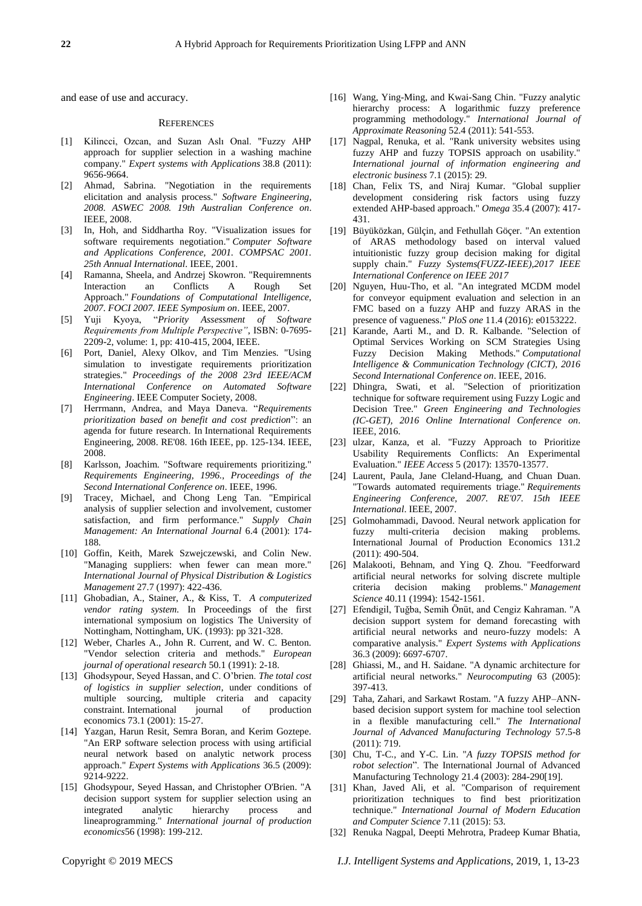and ease of use and accuracy.

#### **REFERENCES**

- [1] Kilincci, Ozcan, and Suzan Aslı Onal. "Fuzzy AHP approach for supplier selection in a washing machine company." *Expert systems with Applications* 38.8 (2011): 9656-9664.
- [2] Ahmad, Sabrina. "Negotiation in the requirements elicitation and analysis process." *Software Engineering, 2008. ASWEC 2008. 19th Australian Conference on*. IEEE, 2008.
- [3] In, Hoh, and Siddhartha Roy. "Visualization issues for software requirements negotiation." *Computer Software and Applications Conference, 2001. COMPSAC 2001. 25th Annual International*. IEEE, 2001.
- [4] Ramanna, Sheela, and Andrzej Skowron. "Requiremnents Interaction an Conflicts A Rough Set Approach." *Foundations of Computational Intelligence, 2007. FOCI 2007. IEEE Symposium on*. IEEE, 2007.
- [5] Yuji Kyoya, "*Priority Assessment of Software Requirements from Multiple Perspective"*, ISBN: 0-7695- 2209-2, volume: 1, pp: 410-415, 2004, IEEE.
- [6] Port, Daniel, Alexy Olkov, and Tim Menzies. "Using simulation to investigate requirements prioritization strategies." *Proceedings of the 2008 23rd IEEE/ACM International Conference on Automated Software Engineering*. IEEE Computer Society, 2008.
- [7] Herrmann, Andrea, and Maya Daneva. "*Requirements prioritization based on benefit and cost prediction*": an agenda for future research. In International Requirements Engineering, 2008. RE'08. 16th IEEE, pp. 125-134. IEEE, 2008.
- [8] Karlsson, Joachim. "Software requirements prioritizing." *Requirements Engineering, 1996., Proceedings of the Second International Conference on*. IEEE, 1996.
- [9] Tracey, Michael, and Chong Leng Tan. "Empirical analysis of supplier selection and involvement, customer satisfaction, and firm performance." *Supply Chain Management: An International Journal* 6.4 (2001): 174- 188.
- [10] Goffin, Keith, Marek Szwejczewski, and Colin New. "Managing suppliers: when fewer can mean more." *International Journal of Physical Distribution & Logistics Management* 27.7 (1997): 422-436.
- [11] Ghobadian, A., Stainer, A., & Kiss, T. *A computerized vendor rating system.* In Proceedings of the first international symposium on logistics The University of Nottingham, Nottingham, UK. (1993): pp 321-328.
- [12] Weber, Charles A., John R. Current, and W. C. Benton. "Vendor selection criteria and methods." *European journal of operational research* 50.1 (1991): 2-18.
- [13] Ghodsypour, Seyed Hassan, and C. O'brien. *The total cost of logistics in supplier selection*, under conditions of multiple sourcing, multiple criteria and capacity constraint. International journal of production economics 73.1 (2001): 15-27.
- [14] Yazgan, Harun Resit, Semra Boran, and Kerim Goztepe. "An ERP software selection process with using artificial neural network based on analytic network process approach." *Expert Systems with Applications* 36.5 (2009): 9214-9222.
- [15] Ghodsypour, Seyed Hassan, and Christopher O'Brien. "A decision support system for supplier selection using an integrated analytic hierarchy process and lineaprogramming." *International journal of production economics*56 (1998): 199-212.
- [16] Wang, Ying-Ming, and Kwai-Sang Chin. "Fuzzy analytic hierarchy process: A logarithmic fuzzy preference programming methodology." *International Journal of Approximate Reasoning* 52.4 (2011): 541-553.
- [17] Nagpal, Renuka, et al. "Rank university websites using fuzzy AHP and fuzzy TOPSIS approach on usability." *International journal of information engineering and electronic business* 7.1 (2015): 29.
- [18] Chan, Felix TS, and Niraj Kumar. "Global supplier development considering risk factors using fuzzy extended AHP-based approach." *Omega* 35.4 (2007): 417- 431.
- [19] Büyüközkan, Gülçin, and Fethullah Göçer. "An extention of ARAS methodology based on interval valued intuitionistic fuzzy group decision making for digital supply chain." *Fuzzy Systems(FUZZ-IEEE),2017 IEEE International Conference on IEEE 2017*
- [20] Nguyen, Huu-Tho, et al. "An integrated MCDM model for conveyor equipment evaluation and selection in an FMC based on a fuzzy AHP and fuzzy ARAS in the presence of vagueness." *PloS one* 11.4 (2016): e0153222.
- [21] Karande, Aarti M., and D. R. Kalbande. "Selection of Optimal Services Working on SCM Strategies Using Fuzzy Decision Making Methods." *Computational Intelligence & Communication Technology (CICT), 2016 Second International Conference on*. IEEE, 2016.
- [22] Dhingra, Swati, et al. "Selection of prioritization technique for software requirement using Fuzzy Logic and Decision Tree." *Green Engineering and Technologies (IC-GET), 2016 Online International Conference on*. IEEE, 2016.
- [23] ulzar, Kanza, et al. "Fuzzy Approach to Prioritize Usability Requirements Conflicts: An Experimental Evaluation." *IEEE Access* 5 (2017): 13570-13577.
- [24] Laurent, Paula, Jane Cleland-Huang, and Chuan Duan. "Towards automated requirements triage." *Requirements Engineering Conference, 2007. RE'07. 15th IEEE International*. IEEE, 2007.
- [25] Golmohammadi, Davood. Neural network application for fuzzy multi-criteria decision making problems. International Journal of Production Economics 131.2 (2011): 490-504.
- [26] Malakooti, Behnam, and Ying O. Zhou. "Feedforward artificial neural networks for solving discrete multiple criteria decision making problems." *Management Science* 40.11 (1994): 1542-1561.
- [27] Efendigil, Tuğba, Semih Önüt, and Cengiz Kahraman. "A decision support system for demand forecasting with artificial neural networks and neuro-fuzzy models: A comparative analysis." *Expert Systems with Applications* 36.3 (2009): 6697-6707.
- [28] Ghiassi, M., and H. Saidane. "A dynamic architecture for artificial neural networks." *Neurocomputing* 63 (2005): 397-413.
- [29] Taha, Zahari, and Sarkawt Rostam. "A fuzzy AHP–ANNbased decision support system for machine tool selection in a flexible manufacturing cell." *The International Journal of Advanced Manufacturing Technology* 57.5-8 (2011): 719.
- [30] Chu, T-C., and Y-C. Lin. "*A fuzzy TOPSIS method for robot selection*". The International Journal of Advanced Manufacturing Technology 21.4 (2003): 284-290[19].
- [31] Khan, Javed Ali, et al. "Comparison of requirement prioritization techniques to find best prioritization technique." *International Journal of Modern Education and Computer Science* 7.11 (2015): 53.
- [32] Renuka Nagpal, Deepti Mehrotra, Pradeep Kumar Bhatia,

Copyright © 2019 MECS *I.J. Intelligent Systems and Applications,* 2019, 1, 13-23